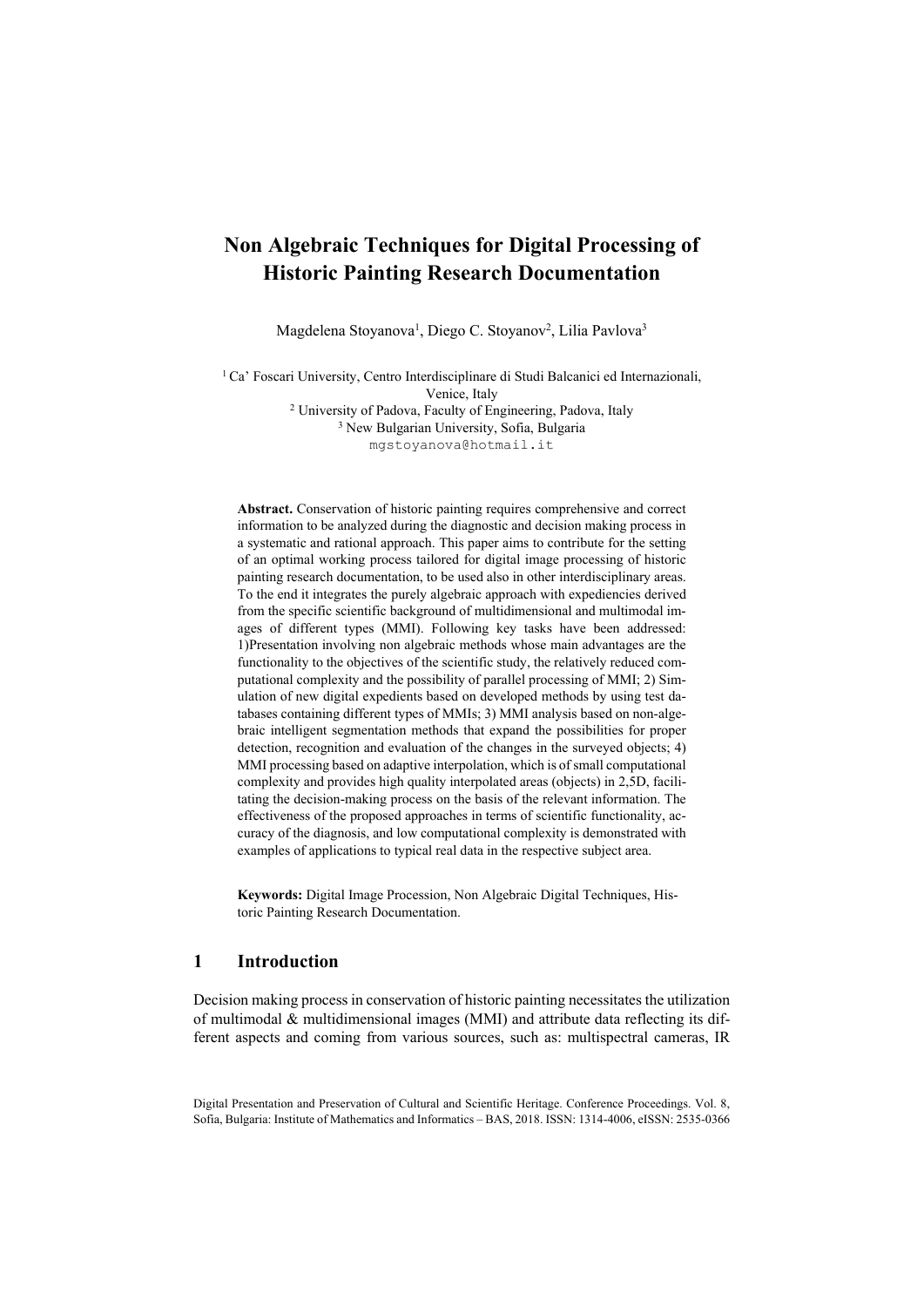# **Non Algebraic Techniques for Digital Processing of Historic Painting Research Documentation**

Magdelena Stoyanova<sup>1</sup>, Diego C. Stoyanov<sup>2</sup>, Lilia Pavlova<sup>3</sup>

<sup>1</sup> Ca' Foscari University, Centro Interdisciplinare di Studi Balcanici ed Internazionali,

Venice, Italy<br><sup>2</sup> University of Padova, Faculty of Engineering, Padova, Italy<br><sup>3</sup> New Bulgarian University, Sofia, Bulgaria mgstoyanova@hotmail.it

**Abstract.** Conservation of historic painting requires comprehensive and correct information to be analyzed during the diagnostic and decision making process in a systematic and rational approach. This paper aims to contribute for the setting of an optimal working process tailored for digital image processing of historic painting research documentation, to be used also in other interdisciplinary areas. To the end it integrates the purely algebraic approach with expediencies derived from the specific scientific background of multidimensional and multimodal images of different types (MMI). Following key tasks have been addressed: 1)Presentation involving non algebraic methods whose main advantages are the functionality to the objectives of the scientific study, the relatively reduced computational complexity and the possibility of parallel processing of MMI; 2) Simulation of new digital expedients based on developed methods by using test databases containing different types of MMIs; 3) MMI analysis based on non-algebraic intelligent segmentation methods that expand the possibilities for proper detection, recognition and evaluation of the changes in the surveyed objects; 4) MMI processing based on adaptive interpolation, which is of small computational complexity and provides high quality interpolated areas (objects) in 2,5D, facilitating the decision-making process on the basis of the relevant information. The effectiveness of the proposed approaches in terms of scientific functionality, accuracy of the diagnosis, and low computational complexity is demonstrated with examples of applications to typical real data in the respective subject area.

**Keywords:** Digital Image Procession, Non Algebraic Digital Techniques, Historic Painting Research Documentation.

# **1 Introduction**

Decision making process in conservation of historic painting necessitates the utilization of multimodal  $&$  multidimensional images (MMI) and attribute data reflecting its different aspects and coming from various sources, such as: multispectral cameras, IR

Digital Presentation and Preservation of Cultural and Scientific Heritage. Conference Proceedings. Vol. 8, Sofia, Bulgaria: Institute of Mathematics and Informatics – BAS, 2018. ISSN: 1314-4006, eISSN: 2535-0366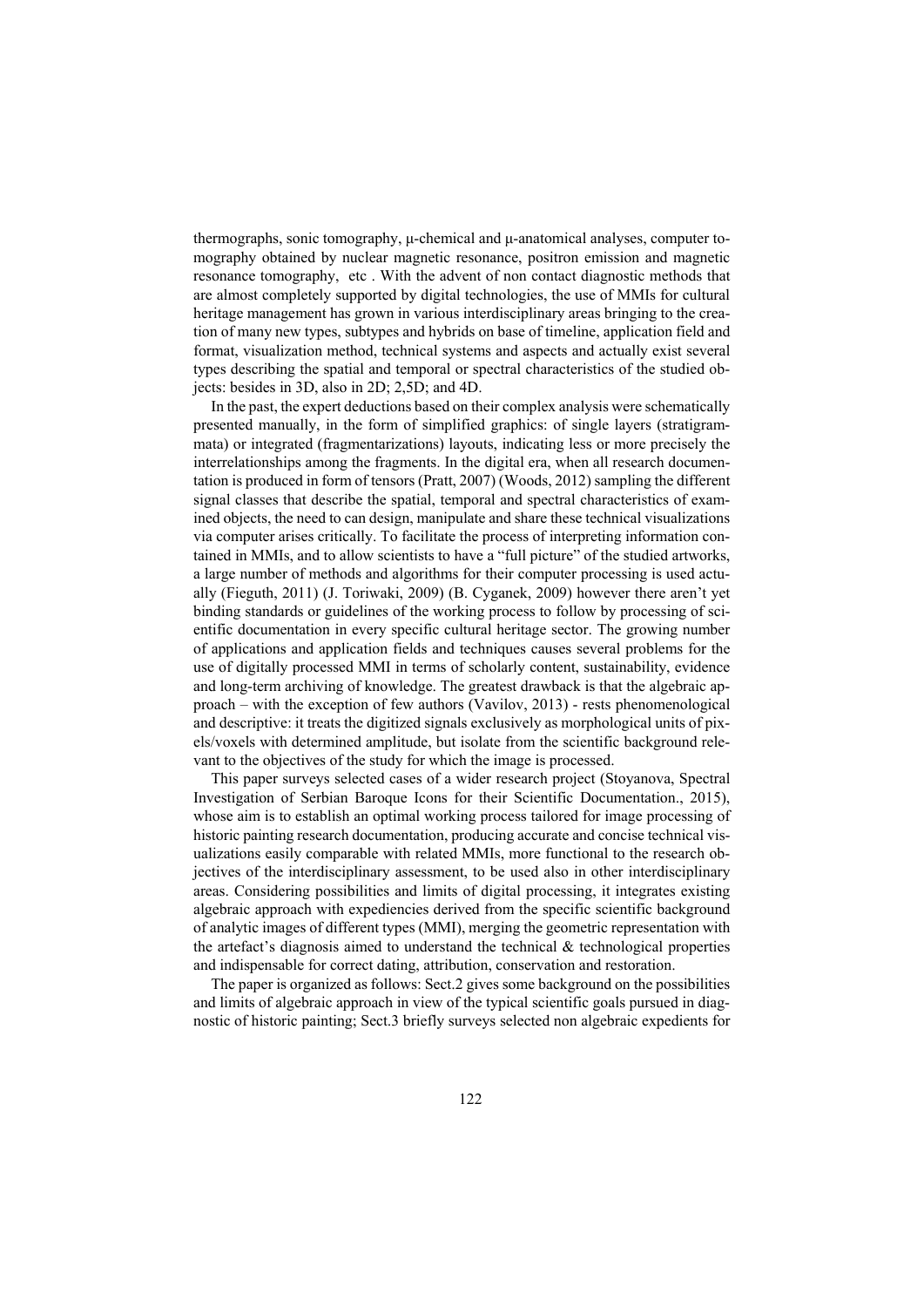thermographs, sonic tomography, μ-chemical and μ-anatomical analyses, computer tomography obtained by nuclear magnetic resonance, positron emission and magnetic resonance tomography, etc . With the advent of non contact diagnostic methods that are almost completely supported by digital technologies, the use of MMIs for cultural heritage management has grown in various interdisciplinary areas bringing to the creation of many new types, subtypes and hybrids on base of timeline, application field and format, visualization method, technical systems and aspects and actually exist several types describing the spatial and temporal or spectral characteristics of the studied objects: besides in 3D, also in 2D; 2,5D; and 4D.

In the past, the expert deductions based on their complex analysis were schematically presented manually, in the form of simplified graphics: of single layers (stratigrammata) or integrated (fragmentarizations) layouts, indicating less or more precisely the interrelationships among the fragments. In the digital era, when all research documentation is produced in form of tensors (Pratt, 2007) (Woods, 2012) sampling the different signal classes that describe the spatial, temporal and spectral characteristics of examined objects, the need to can design, manipulate and share these technical visualizations via computer arises critically. To facilitate the process of interpreting information contained in MMIs, and to allow scientists to have a "full picture" of the studied artworks, a large number of methods and algorithms for their computer processing is used actually (Fieguth, 2011) (J. Toriwaki, 2009) (B. Cyganek, 2009) however there aren't yet binding standards or guidelines of the working process to follow by processing of scientific documentation in every specific cultural heritage sector. The growing number of applications and application fields and techniques causes several problems for the use of digitally processed MMI in terms of scholarly content, sustainability, evidence and long-term archiving of knowledge. The greatest drawback is that the algebraic approach – with the exception of few authors (Vavilov, 2013) - rests phenomenological and descriptive: it treats the digitized signals exclusively as morphological units of pixels/voxels with determined amplitude, but isolate from the scientific background relevant to the objectives of the study for which the image is processed.

This paper surveys selected cases of a wider research project (Stoyanova, Spectral Investigation of Serbian Baroque Icons for their Scientific Documentation., 2015), whose aim is to establish an optimal working process tailored for image processing of historic painting research documentation, producing accurate and concise technical visualizations easily comparable with related MMIs, more functional to the research objectives of the interdisciplinary assessment, to be used also in other interdisciplinary areas. Considering possibilities and limits of digital processing, it integrates existing algebraic approach with expediencies derived from the specific scientific background of analytic images of different types (MMI), merging the geometric representation with the artefact's diagnosis aimed to understand the technical & technological properties and indispensable for correct dating, attribution, conservation and restoration.

The paper is organized as follows: Sect.2 gives some background on the possibilities and limits of algebraic approach in view of the typical scientific goals pursued in diagnostic of historic painting; Sect.3 briefly surveys selected non algebraic expedients for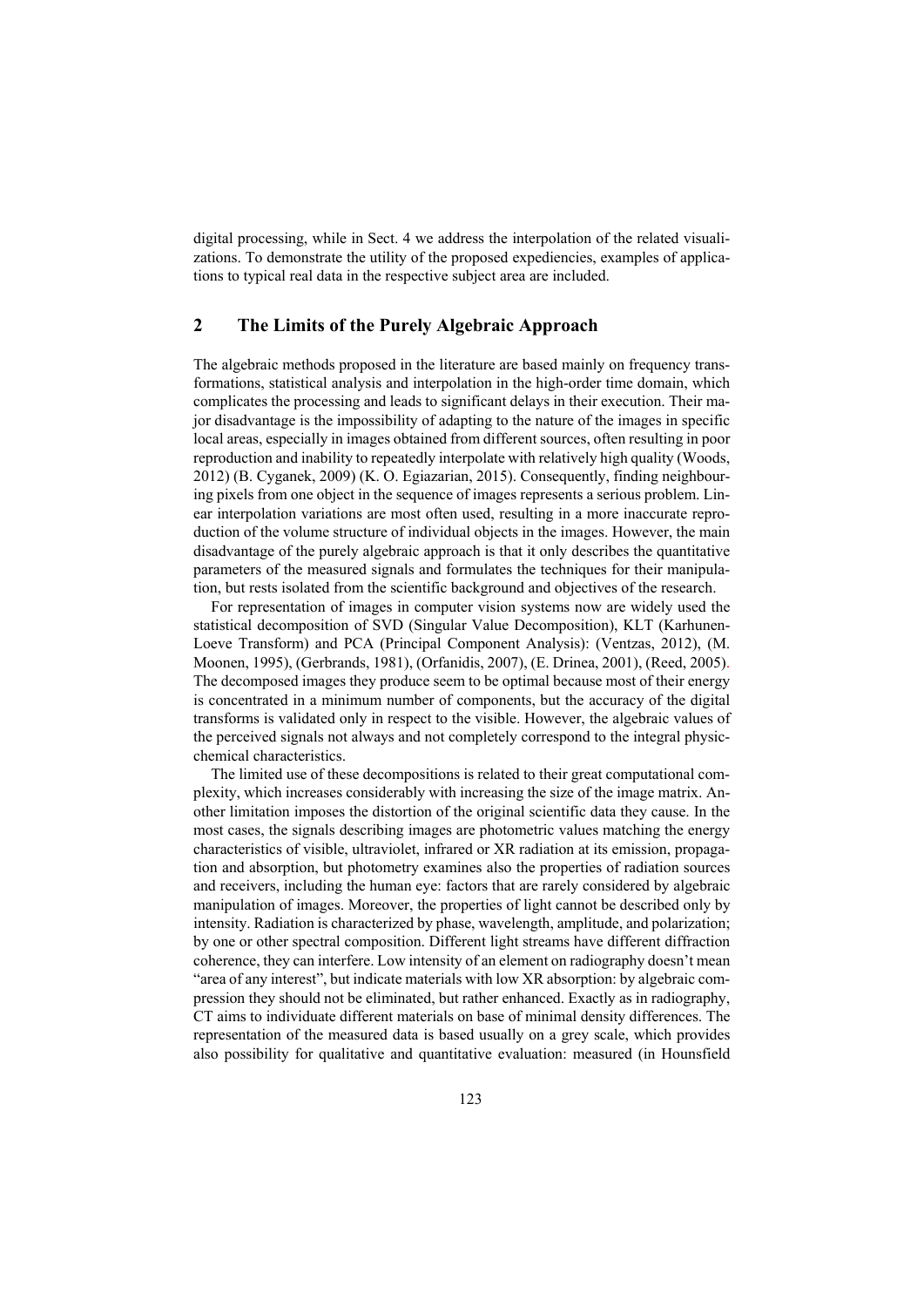digital processing, while in Sect. 4 we address the interpolation of the related visualizations. To demonstrate the utility of the proposed expediencies, examples of applications to typical real data in the respective subject area are included.

# **2 The Limits of the Purely Algebraic Approach**

The algebraic methods proposed in the literature are based mainly on frequency transformations, statistical analysis and interpolation in the high-order time domain, which complicates the processing and leads to significant delays in their execution. Their major disadvantage is the impossibility of adapting to the nature of the images in specific local areas, especially in images obtained from different sources, often resulting in poor reproduction and inability to repeatedly interpolate with relatively high quality (Woods, 2012) (B. Cyganek, 2009) (K. O. Egiazarian, 2015). Consequently, finding neighbouring pixels from one object in the sequence of images represents a serious problem. Linear interpolation variations are most often used, resulting in a more inaccurate reproduction of the volume structure of individual objects in the images. However, the main disadvantage of the purely algebraic approach is that it only describes the quantitative parameters of the measured signals and formulates the techniques for their manipulation, but rests isolated from the scientific background and objectives of the research.

For representation of images in computer vision systems now are widely used the statistical decomposition of SVD (Singular Value Decomposition), KLT (Karhunen-Loeve Transform) and PCA (Principal Component Analysis): (Ventzas, 2012), (M. Moonen, 1995), (Gerbrands, 1981), (Orfanidis, 2007), (E. Drinea, 2001), (Reed, 2005). The decomposed images they produce seem to be optimal because most of their energy is concentrated in a minimum number of components, but the accuracy of the digital transforms is validated only in respect to the visible. However, the algebraic values of the perceived signals not always and not completely correspond to the integral physicchemical characteristics.

The limited use of these decompositions is related to their great computational complexity, which increases considerably with increasing the size of the image matrix. Another limitation imposes the distortion of the original scientific data they cause. In the most cases, the signals describing images are photometric values matching the energy characteristics of visible, ultraviolet, infrared or XR radiation at its emission, propagation and absorption, but photometry examines also the properties of radiation sources and receivers, including the human eye: factors that are rarely considered by algebraic manipulation of images. Moreover, the properties of light cannot be described only by intensity. Radiation is characterized by phase, wavelength, amplitude, and polarization; by one or other spectral composition. Different light streams have different diffraction coherence, they can interfere. Low intensity of an element on radiography doesn't mean "area of any interest", but indicate materials with low XR absorption: by algebraic compression they should not be eliminated, but rather enhanced. Exactly as in radiography, CT aims to individuate different materials on base of minimal density differences. The representation of the measured data is based usually on a grey scale, which provides also possibility for qualitative and quantitative evaluation: measured (in Hounsfield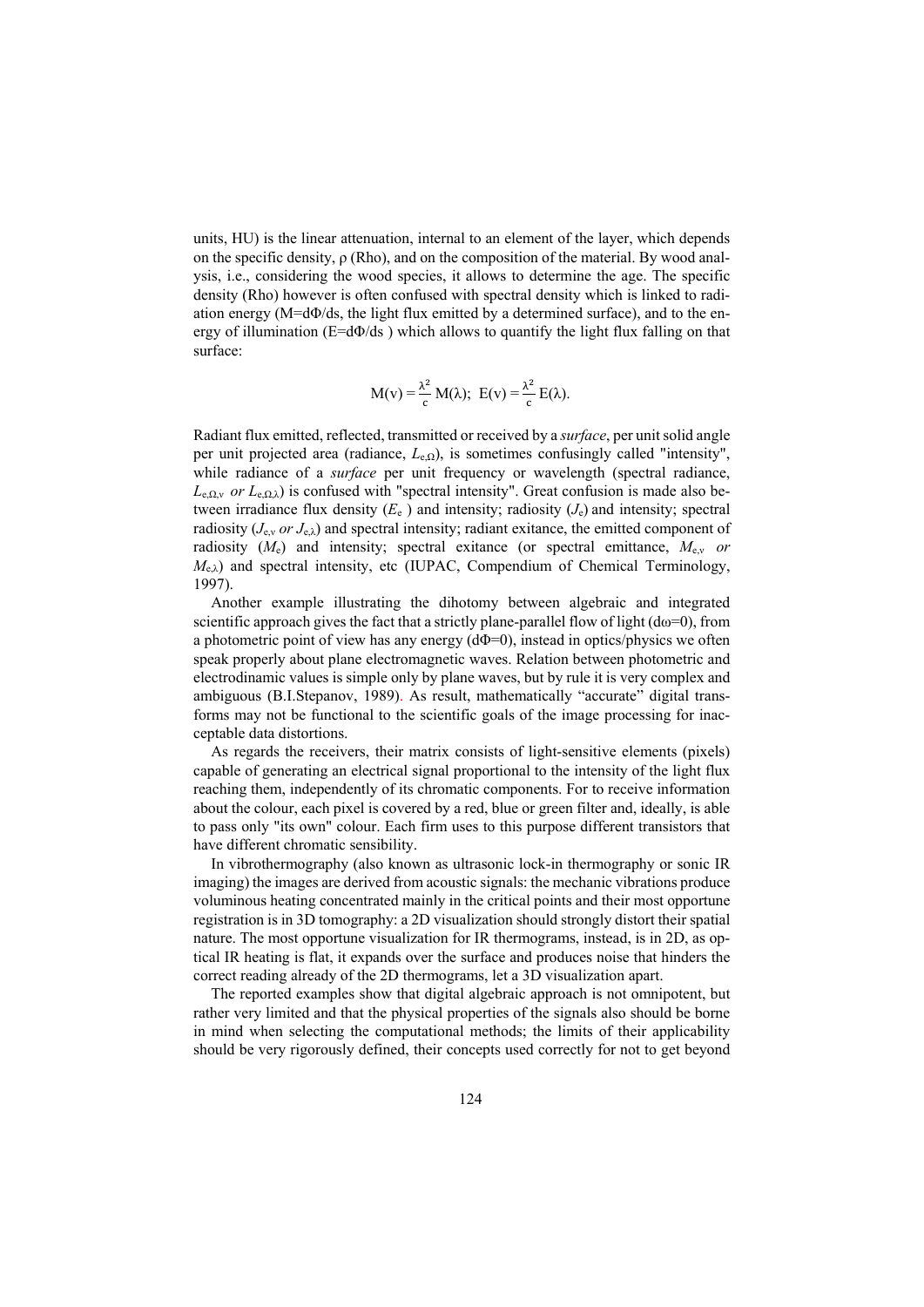units, HU) is the linear attenuation, internal to an element of the layer, which depends on the specific density,  $\rho$  (Rho), and on the composition of the material. By wood analysis, i.e., considering the wood species, it allows to determine the age. The specific density (Rho) however is often confused with spectral density which is linked to radiation energy (M=dΦ/ds, the light flux emitted by a determined surface), and to the energy of illumination ( $E=d\Phi/ds$ ) which allows to quantify the light flux falling on that surface:

$$
M(v) = \frac{\lambda^2}{c} M(\lambda); E(v) = \frac{\lambda^2}{c} E(\lambda).
$$

Radiant flux emitted, reflected, transmitted or received by a *surface*, per unit solid angle per unit projected area (radiance, *L*e,Ω), is sometimes confusingly called "intensity", while radiance of a *surface* per unit frequency or wavelength (spectral radiance,  $L_{e, Qy}$  *or*  $L_{e, Qy}$  is confused with "spectral intensity". Great confusion is made also between irradiance flux density  $(E_e)$  and intensity; radiosity  $(J_e)$  and intensity; spectral radiosity (*J*e,<sup>ν</sup> *or J*e,λ) and spectral intensity; radiant exitance, the emitted component of radiosity  $(M_e)$  and intensity; spectral exitance (or spectral emittance,  $M_{ev}$  *or M*e,λ) and spectral intensity, etc (IUPAC, Compendium of Chemical Terminology, 1997).

Another example illustrating the dihotomy between algebraic and integrated scientific approach gives the fact that a strictly plane-parallel flow of light  $(d\omega=0)$ , from a photometric point of view has any energy  $(d\Phi=0)$ , instead in optics/physics we often speak properly about plane electromagnetic waves. Relation between photometric and electrodinamic values is simple only by plane waves, but by rule it is very complex and ambiguous (B.I.Stepanov, 1989). As result, mathematically "accurate" digital transforms may not be functional to the scientific goals of the image processing for inacceptable data distortions.

As regards the receivers, their matrix consists of light-sensitive elements (pixels) capable of generating an electrical signal proportional to the intensity of the light flux reaching them, independently of its chromatic components. For to receive information about the colour, each pixel is covered by a red, blue or green filter and, ideally, is able to pass only "its own" colour. Each firm uses to this purpose different transistors that have different chromatic sensibility.

In vibrothermography (also known as ultrasonic lock-in thermography or sonic IR imaging) the images are derived from acoustic signals: the mechanic vibrations produce voluminous heating concentrated mainly in the critical points and their most opportune registration is in 3D tomography: a 2D visualization should strongly distort their spatial nature. The most opportune visualization for IR thermograms, instead, is in 2D, as optical IR heating is flat, it expands over the surface and produces noise that hinders the correct reading already of the 2D thermograms, let a 3D visualization apart.

The reported examples show that digital algebraic approach is not omnipotent, but rather very limited and that the physical properties of the signals also should be borne in mind when selecting the computational methods; the limits of their applicability should be very rigorously defined, their concepts used correctly for not to get beyond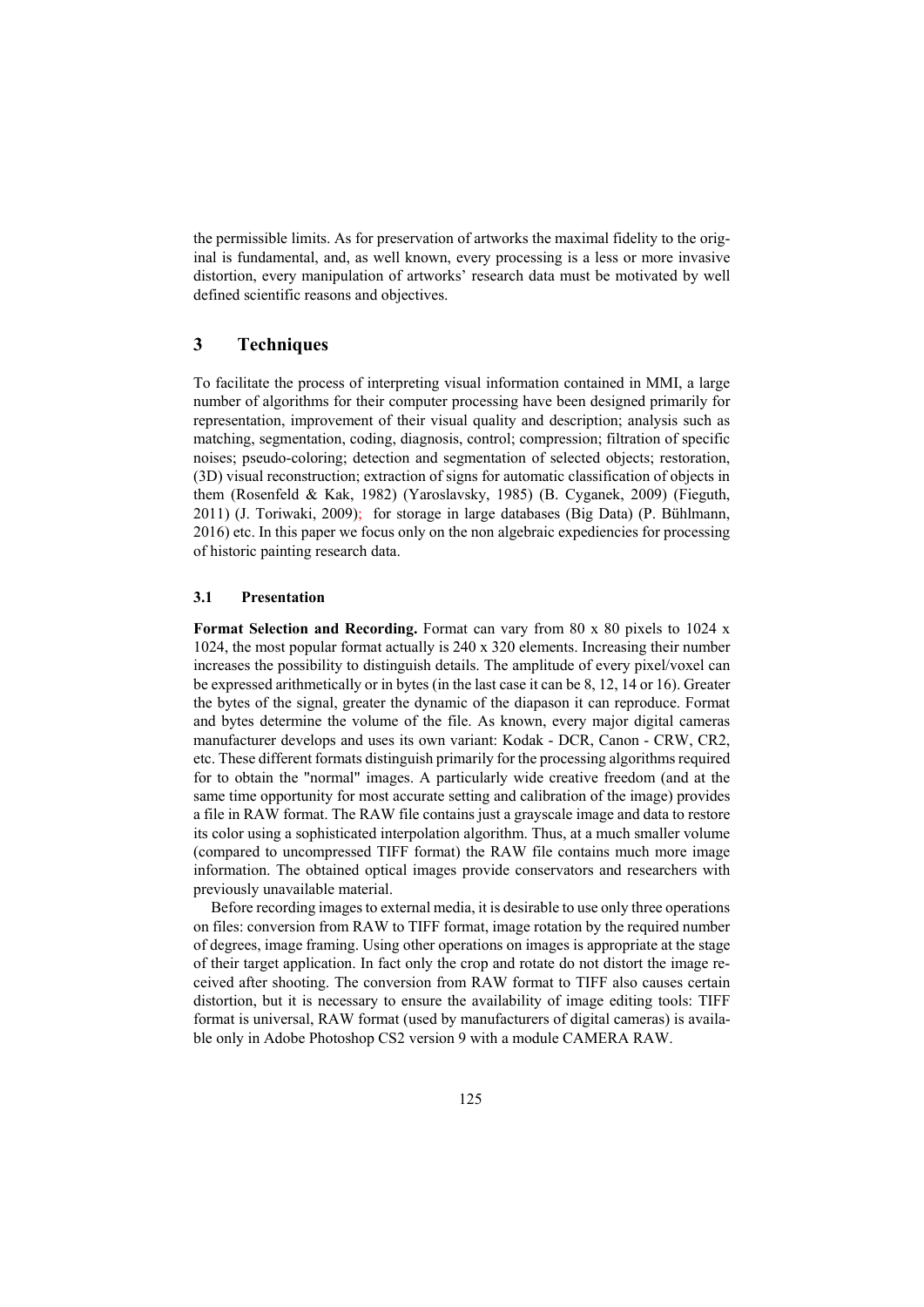the permissible limits. As for preservation of artworks the maximal fidelity to the original is fundamental, and, as well known, every processing is a less or more invasive distortion, every manipulation of artworks' research data must be motivated by well defined scientific reasons and objectives.

# **3 Techniques**

To facilitate the process of interpreting visual information contained in MMI, a large number of algorithms for their computer processing have been designed primarily for representation, improvement of their visual quality and description; analysis such as matching, segmentation, coding, diagnosis, control; compression; filtration of specific noises; pseudo-coloring; detection and segmentation of selected objects; restoration, (3D) visual reconstruction; extraction of signs for automatic classification of objects in them (Rosenfeld & Kak, 1982) (Yaroslavsky, 1985) (B. Cyganek, 2009) (Fieguth, 2011) (J. Toriwaki, 2009); for storage in large databases (Big Data) (P. Bühlmann, 2016) etc. In this paper we focus only on the non algebraic expediencies for processing of historic painting research data.

#### **3.1 Presentation**

**Format Selection and Recording.** Format can vary from 80 x 80 pixels to 1024 x 1024, the most popular format actually is 240 x 320 elements. Increasing their number increases the possibility to distinguish details. The amplitude of every pixel/voxel can be expressed arithmetically or in bytes (in the last case it can be 8, 12, 14 or 16). Greater the bytes of the signal, greater the dynamic of the diapason it can reproduce. Format and bytes determine the volume of the file. As known, every major digital cameras manufacturer develops and uses its own variant: Kodak - DCR, Canon - CRW, CR2, etc. These different formats distinguish primarily for the processing algorithms required for to obtain the "normal" images. A particularly wide creative freedom (and at the same time opportunity for most accurate setting and calibration of the image) provides a file in RAW format. The RAW file contains just a grayscale image and data to restore its color using a sophisticated interpolation algorithm. Thus, at a much smaller volume (compared to uncompressed TIFF format) the RAW file contains much more image information. The obtained optical images provide conservators and researchers with previously unavailable material.

Before recording images to external media, it is desirable to use only three operations on files: conversion from RAW to TIFF format, image rotation by the required number of degrees, image framing. Using other operations on images is appropriate at the stage of their target application. In fact only the crop and rotate do not distort the image received after shooting. The conversion from RAW format to TIFF also causes certain distortion, but it is necessary to ensure the availability of image editing tools: TIFF format is universal, RAW format (used by manufacturers of digital cameras) is available only in Adobe Photoshop CS2 version 9 with a module CAMERA RAW.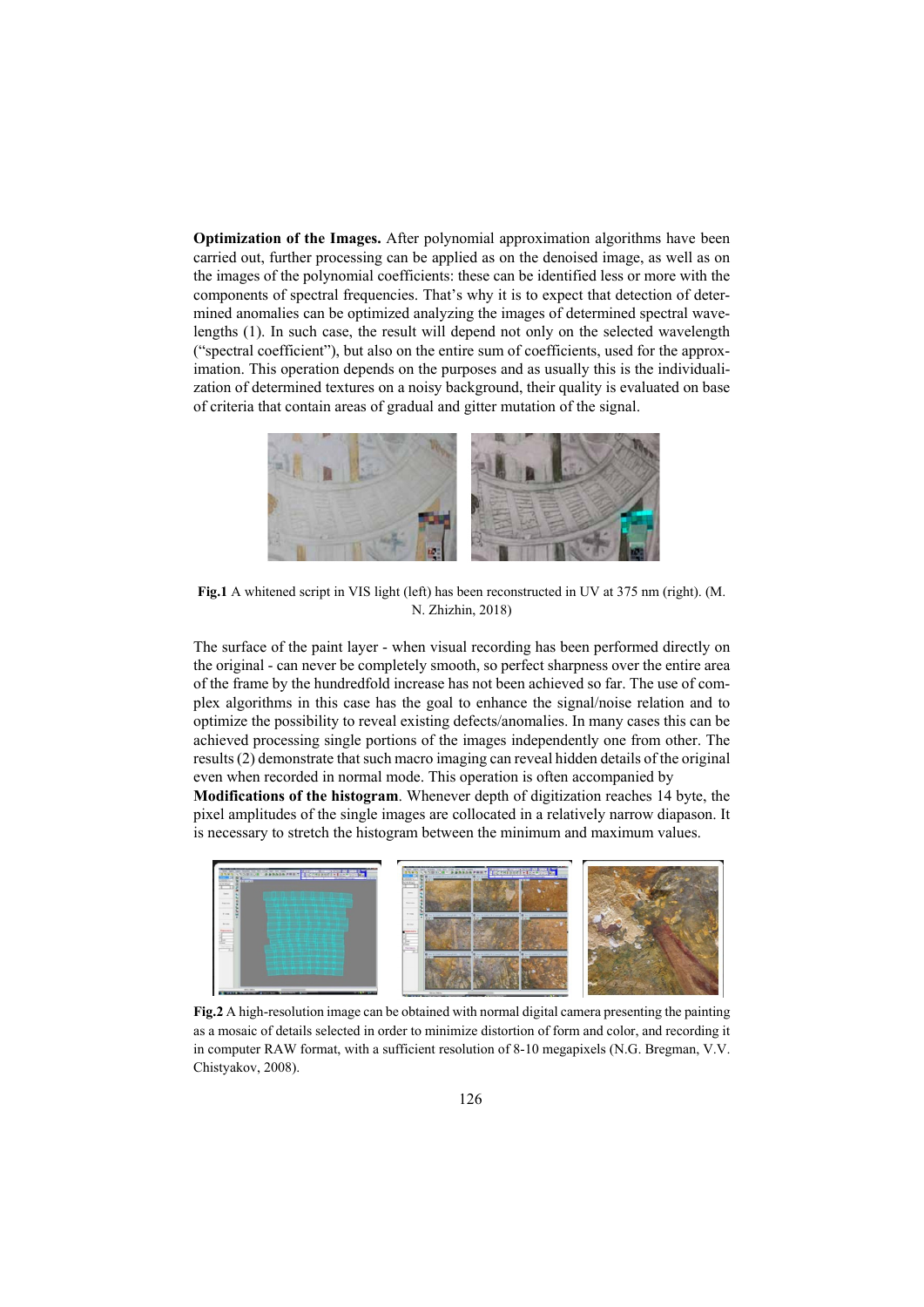**Optimization of the Images.** After polynomial approximation algorithms have been carried out, further processing can be applied as on the denoised image, as well as on the images of the polynomial coefficients: these can be identified less or more with the components of spectral frequencies. That's why it is to expect that detection of determined anomalies can be optimized analyzing the images of determined spectral wavelengths (1). In such case, the result will depend not only on the selected wavelength ("spectral coefficient"), but also on the entire sum of coefficients, used for the approximation. This operation depends on the purposes and as usually this is the individualization of determined textures on a noisy background, their quality is evaluated on base of criteria that contain areas of gradual and gitter mutation of the signal.



**Fig.1** A whitened script in VIS light (left) has been reconstructed in UV at 375 nm (right). (М. N. Zhizhin, 2018)

The surface of the paint layer - when visual recording has been performed directly on the original - can never be completely smooth, so perfect sharpness over the entire area of the frame by the hundredfold increase has not been achieved so far. The use of complex algorithms in this case has the goal to enhance the signal/noise relation and to optimize the possibility to reveal existing defects/anomalies. In many cases this can be achieved processing single portions of the images independently one from other. The results (2) demonstrate that such macro imaging can reveal hidden details of the original even when recorded in normal mode. This operation is often accompanied by

**Modifications of the histogram**. Whenever depth of digitization reaches 14 byte, the pixel amplitudes of the single images are collocated in a relatively narrow diapason. It is necessary to stretch the histogram between the minimum and maximum values.



**Fig.2** A high-resolution image can be obtained with normal digital camera presenting the painting as a mosaic of details selected in order to minimize distortion of form and color, and recording it in computer RAW format, with a sufficient resolution of 8-10 megapixels (N.G. Bregman, V.V. Chistyakov, 2008).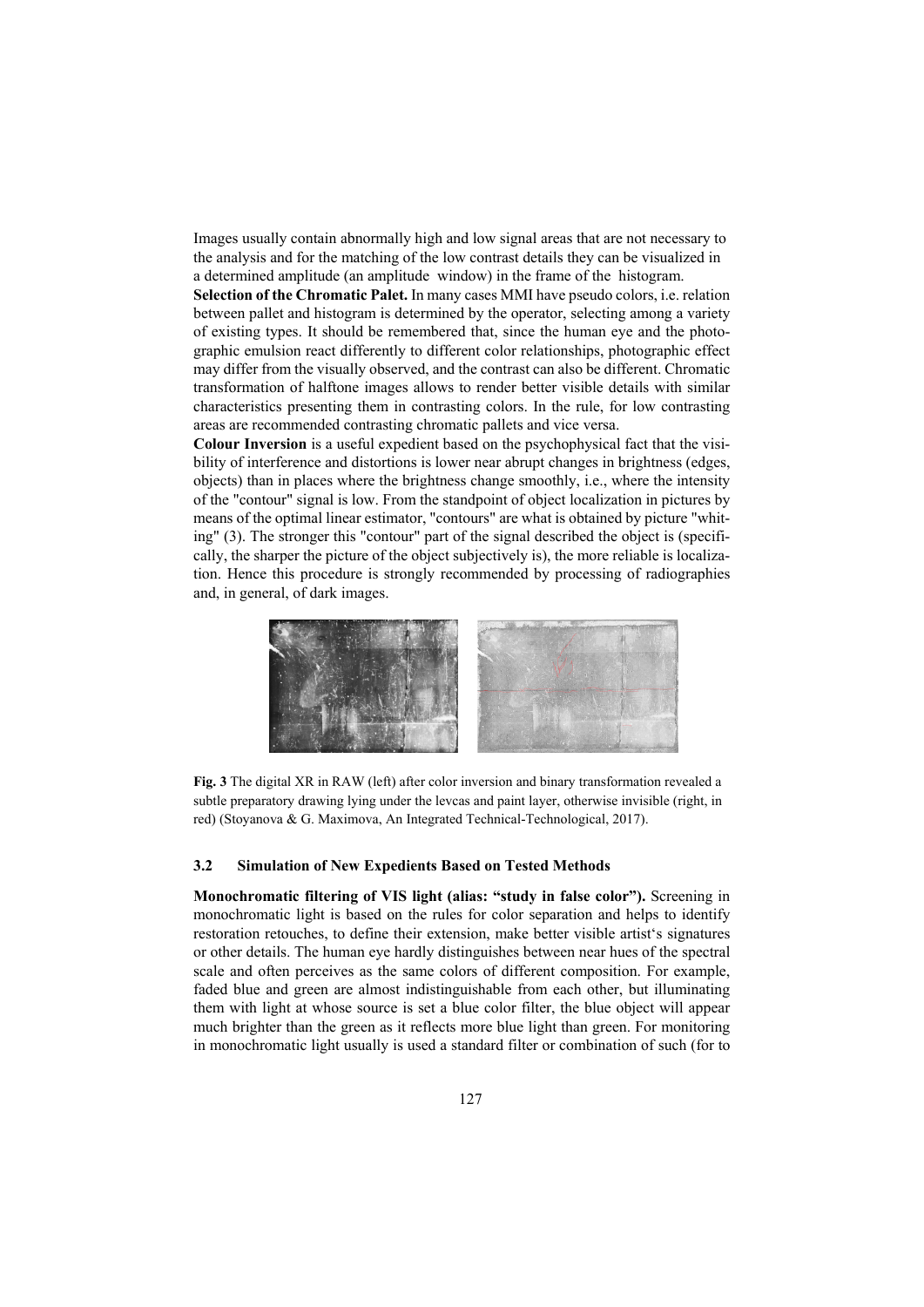Images usually contain abnormally high and low signal areas that are not necessary to the analysis and for the matching of the low contrast details they can be visualized in a determined amplitude (an amplitude window) in the frame of the histogram.

**Selection of the Chromatic Palet.** In many cases MMI have pseudo colors, i.e. relation between pallet and histogram is determined by the operator, selecting among a variety of existing types. It should be remembered that, since the human eye and the photographic emulsion react differently to different color relationships, photographic effect may differ from the visually observed, and the contrast can also be different. Chromatic transformation of halftone images allows to render better visible details with similar characteristics presenting them in contrasting colors. In the rule, for low contrasting areas are recommended contrasting chromatic pallets and vice versa.

**Colour Inversion** is a useful expedient based on the psychophysical fact that the visibility of interference and distortions is lower near abrupt changes in brightness (edges, objects) than in places where the brightness change smoothly, i.e., where the intensity of the "contour" signal is low. From the standpoint of object localization in pictures by means of the optimal linear estimator, "contours" are what is obtained by picture "whiting" (3). The stronger this "contour" part of the signal described the object is (specifically, the sharper the picture of the object subjectively is), the more reliable is localization. Hence this procedure is strongly recommended by processing of radiographies and, in general, of dark images.



**Fig. 3** The digital XR in RAW (left) after color inversion and binary transformation revealed a subtle preparatory drawing lying under the levcas and paint layer, otherwise invisible (right, in red) (Stoyanova & G. Maximova, An Integrated Technical-Technological, 2017).

#### **3.2 Simulation of New Expedients Based on Tested Methods**

**Monochromatic filtering of VIS light (alias: "study in false color").** Screening in monochromatic light is based on the rules for color separation and helps to identify restoration retouches, to define their extension, make better visible artist's signatures or other details. The human eye hardly distinguishes between near hues of the spectral scale and often perceives as the same colors of different composition. For example, faded blue and green are almost indistinguishable from each other, but illuminating them with light at whose source is set a blue color filter, the blue object will appear much brighter than the green as it reflects more blue light than green. For monitoring in monochromatic light usually is used a standard filter or combination of such (for to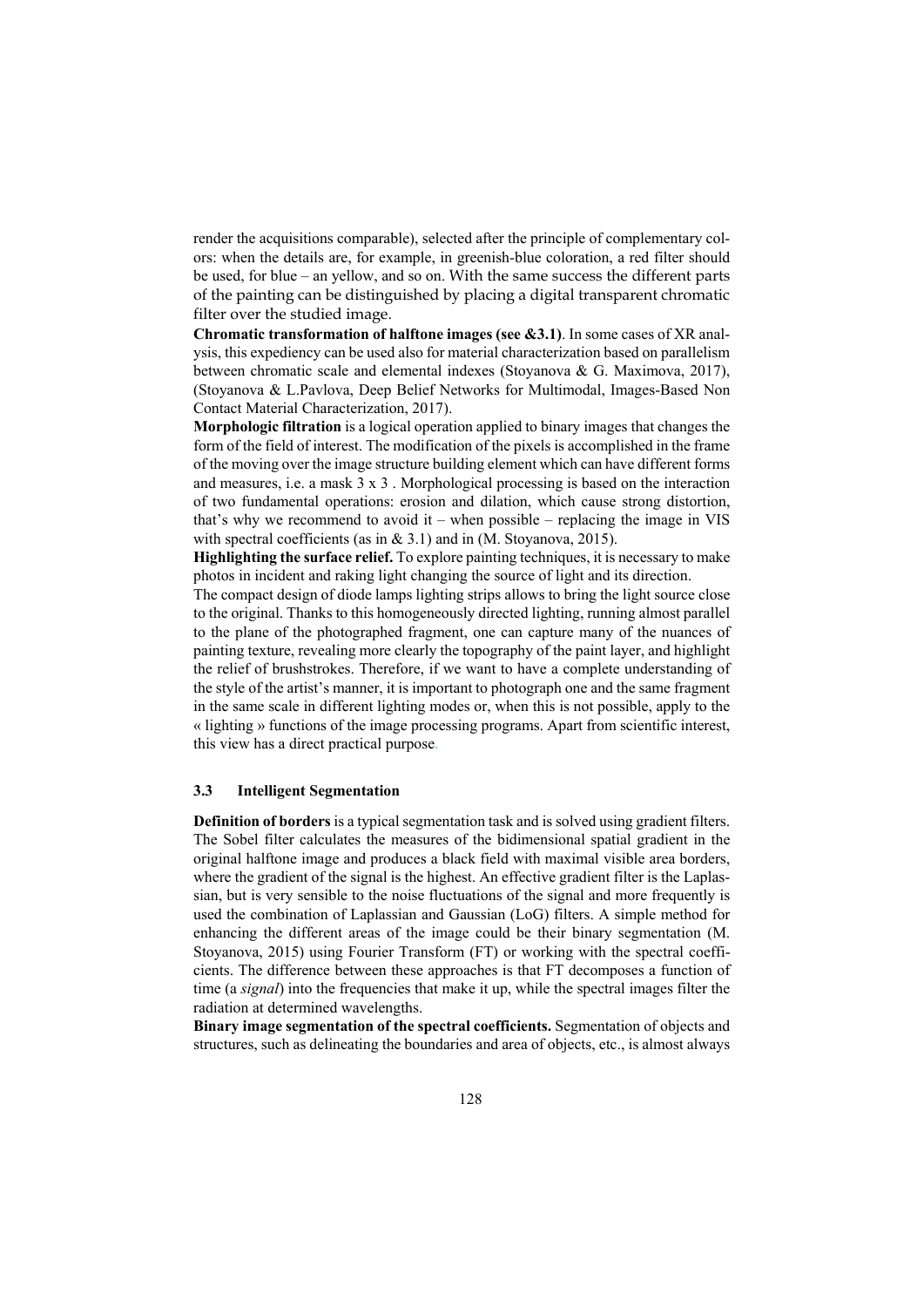render the acquisitions comparable), selected after the principle of complementary colors: when the details are, for example, in greenish-blue coloration, a red filter should be used, for blue – an yellow, and so on. With the same success the different parts of the painting can be distinguished by placing a digital transparent chromatic filter over the studied image.

**Chromatic transformation of halftone images (see &3.1)**. In some cases of XR analysis, this expediency can be used also for material characterization based on parallelism between chromatic scale and elemental indexes (Stoyanova & G. Maximova, 2017), (Stoyanova & L.Pavlova, Deep Belief Networks for Multimodal, Images-Based Non Contact Material Characterization, 2017).

**Morphologic filtration** is a logical operation applied to binary images that changes the form of the field of interest. The modification of the pixels is accomplished in the frame of the moving over the image structure building element which can have different forms and measures, i.e. a mask 3 x 3 . Morphological processing is based on the interaction of two fundamental operations: erosion and dilation, which cause strong distortion, that's why we recommend to avoid it – when possible – replacing the image in VIS with spectral coefficients (as in & 3.1) and in (M. Stovanova, 2015).

**Highlighting the surface relief.** To explore painting techniques, it is necessary to make photos in incident and raking light changing the source of light and its direction.

The compact design of diode lamps lighting strips allows to bring the light source close to the original. Thanks to this homogeneously directed lighting, running almost parallel to the plane of the photographed fragment, one can capture many of the nuances of painting texture, revealing more clearly the topography of the paint layer, and highlight the relief of brushstrokes. Therefore, if we want to have a complete understanding of the style of the artist's manner, it is important to photograph one and the same fragment in the same scale in different lighting modes or, when this is not possible, apply to the « lighting » functions of the image processing programs. Apart from scientific interest, this view has a direct practical purpose.

### **3.3 Intelligent Segmentation**

**Definition of borders** is a typical segmentation task and is solved using gradient filters. The Sobel filter calculates the measures of the bidimensional spatial gradient in the original halftone image and produces a black field with maximal visible area borders, where the gradient of the signal is the highest. An effective gradient filter is the Laplassian, but is very sensible to the noise fluctuations of the signal and more frequently is used the combination of Laplassian and Gaussian (LoG) filters. A simple method for enhancing the different areas of the image could be their binary segmentation (M. Stoyanova, 2015) using Fourier Transform (FT) or working with the spectral coefficients. The difference between these approaches is that FT decomposes a function of time (a *signal*) into the frequencies that make it up, while the spectral images filter the radiation at determined wavelengths.

**Binary image segmentation of the spectral coefficients.** Segmentation of objects and structures, such as delineating the boundaries and area of objects, etc., is almost always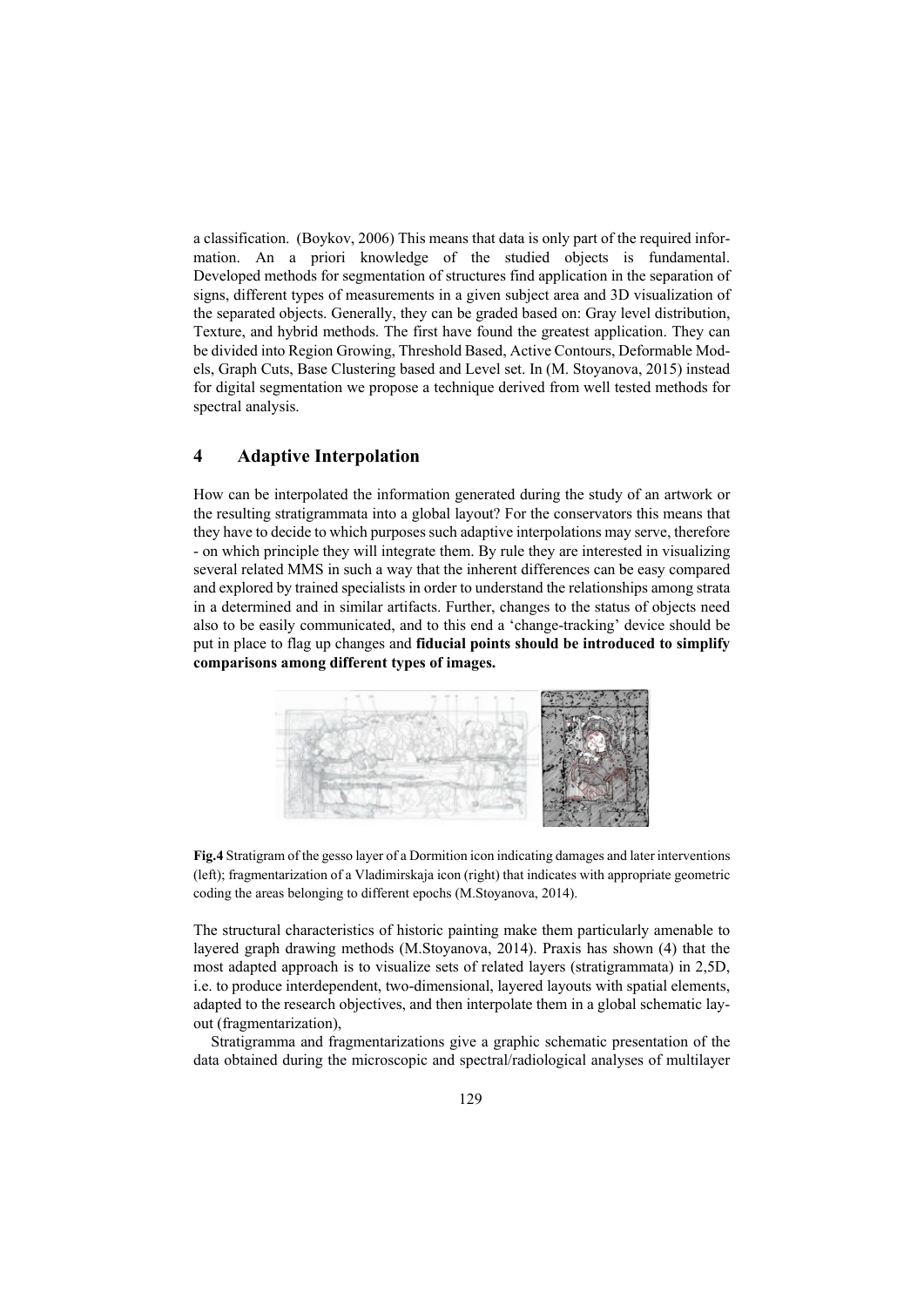a classification. (Boykov, 2006) This means that data is only part of the required information. An a priori knowledge of the studied objects is fundamental. Developed methods for segmentation of structures find application in the separation of signs, different types of measurements in a given subject area and 3D visualization of the separated objects. Generally, they can be graded based on: Gray level distribution, Texture, and hybrid methods. The first have found the greatest application. They can be divided into Region Growing, Threshold Based, Active Contours, Deformable Models, Graph Cuts, Base Clustering based and Level set. In (M. Stoyanova, 2015) instead for digital segmentation we propose a technique derived from well tested methods for spectral analysis.

# **4 Adaptive Interpolation**

How can be interpolated the information generated during the study of an artwork or the resulting stratigrammata into a global layout? For the conservators this means that they have to decide to which purposes such adaptive interpolations may serve, therefore - on which principle they will integrate them. By rule they are interested in visualizing several related MMS in such a way that the inherent differences can be easy compared and explored by trained specialists in order to understand the relationships among strata in a determined and in similar artifacts. Further, changes to the status of objects need also to be easily communicated, and to this end a 'change-tracking' device should be put in place to flag up changes and **fiducial points should be introduced to simplify comparisons among different types of images.** 



**Fig.4** Stratigram of the gesso layer of a Dormition icon indicating damages and later interventions (left); fragmentarization of a Vladimirskaja icon (right) that indicates with appropriate geometric coding the areas belonging to different epochs (M.Stoyanova, 2014).

The structural characteristics of historic painting make them particularly amenable to layered graph drawing methods (M.Stoyanova, 2014). Praxis has shown (4) that the most adapted approach is to visualize sets of related layers (stratigrammata) in 2,5D, i.e. to produce interdependent, two-dimensional, layered layouts with spatial elements, adapted to the research objectives, and then interpolate them in a global schematic layout (fragmentarization),

Stratigramma and fragmentarizations give a graphic schematic presentation of the data obtained during the microscopic and spectral/radiological analyses of multilayer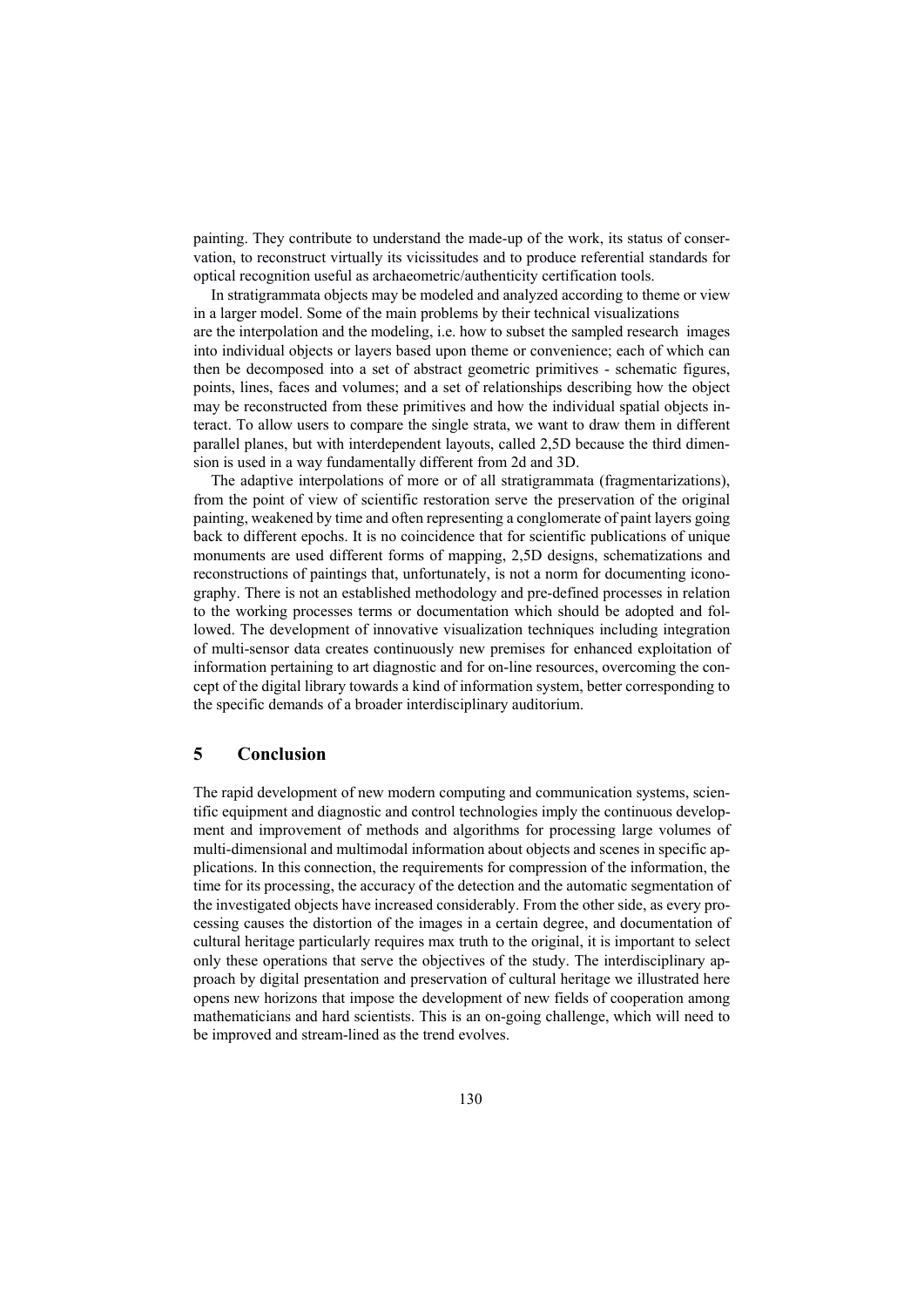painting. They contribute to understand the made-up of the work, its status of conservation, to reconstruct virtually its vicissitudes and to produce referential standards for optical recognition useful as archaeometric/authenticity certification tools.

In stratigrammata objects may be modeled and analyzed according to theme or view in a larger model. Some of the main problems by their technical visualizations are the interpolation and the modeling, i.e. how to subset the sampled research images into individual objects or layers based upon theme or convenience; each of which can then be decomposed into a set of abstract geometric primitives - schematic figures, points, lines, faces and volumes; and a set of relationships describing how the object may be reconstructed from these primitives and how the individual spatial objects interact. To allow users to compare the single strata, we want to draw them in different parallel planes, but with interdependent layouts, called 2,5D because the third dimension is used in a way fundamentally different from 2d and 3D.

The adaptive interpolations of more or of all stratigrammata (fragmentarizations), from the point of view of scientific restoration serve the preservation of the original painting, weakened by time and often representing a conglomerate of paint layers going back to different epochs. It is no coincidence that for scientific publications of unique monuments are used different forms of mapping, 2,5D designs, schematizations and reconstructions of paintings that, unfortunately, is not a norm for documenting iconography. There is not an established methodology and pre-defined processes in relation to the working processes terms or documentation which should be adopted and followed. The development of innovative visualization techniques including integration of multi-sensor data creates continuously new premises for enhanced exploitation of information pertaining to art diagnostic and for on-line resources, overcoming the concept of the digital library towards a kind of information system, better corresponding to the specific demands of a broader interdisciplinary auditorium.

## **5 Conclusion**

The rapid development of new modern computing and communication systems, scientific equipment and diagnostic and control technologies imply the continuous development and improvement of methods and algorithms for processing large volumes of multi-dimensional and multimodal information about objects and scenes in specific applications. In this connection, the requirements for compression of the information, the time for its processing, the accuracy of the detection and the automatic segmentation of the investigated objects have increased considerably. From the other side, as every processing causes the distortion of the images in a certain degree, and documentation of cultural heritage particularly requires max truth to the original, it is important to select only these operations that serve the objectives of the study. The interdisciplinary approach by digital presentation and preservation of cultural heritage we illustrated here opens new horizons that impose the development of new fields of cooperation among mathematicians and hard scientists. This is an on-going challenge, which will need to be improved and stream-lined as the trend evolves.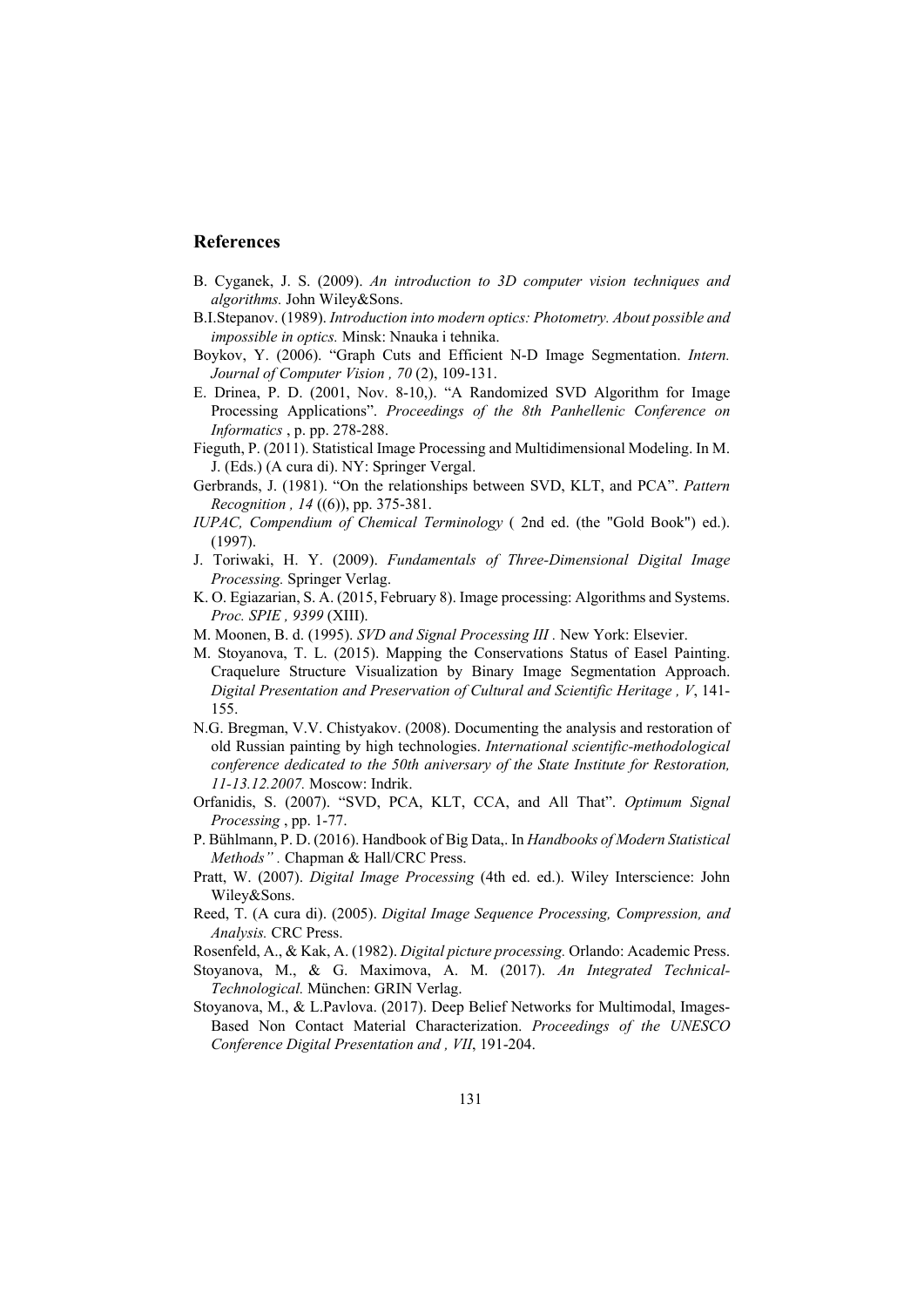## **References**

- B. Cyganek, J. S. (2009). *An introduction to 3D computer vision techniques and algorithms.* John Wiley&Sons.
- B.I.Stepanov. (1989). *Introduction into modern optics: Photometry. About possible and impossible in optics.* Minsk: Nnauka i tehnika.
- Boykov, Y. (2006). "Graph Cuts and Efficient N-D Image Segmentation. *Intern. Journal of Computer Vision , 70* (2), 109-131.
- E. Drinea, P. D. (2001, Nov. 8-10,). "A Randomized SVD Algorithm for Image Processing Applications". *Proceedings of the 8th Panhellenic Conference on Informatics* , p. pp. 278-288.
- Fieguth, P. (2011). Statistical Image Processing and Multidimensional Modeling. In M. J. (Eds.) (A cura di). NY: Springer Vergal.
- Gerbrands, J. (1981). "On the relationships between SVD, KLT, and PCA". *Pattern Recognition , 14* ((6)), pp. 375-381.
- *IUPAC, Compendium of Chemical Terminology* ( 2nd ed. (the "Gold Book") ed.). (1997).
- J. Toriwaki, H. Y. (2009). *Fundamentals of Three-Dimensional Digital Image Processing.* Springer Verlag.
- K. O. Egiazarian, S. A. (2015, February 8). Image processing: Algorithms and Systems. *Proc. SPIE , 9399* (XIII).
- M. Moonen, B. d. (1995). *SVD and Signal Processing III .* New York: Elsevier.
- M. Stoyanova, T. L. (2015). Mapping the Conservations Status of Easel Painting. Craquelure Structure Visualization by Binary Image Segmentation Approach. *Digital Presentation and Preservation of Cultural and Scientific Heritage , V*, 141- 155.
- N.G. Bregman, V.V. Chistyakov. (2008). Documenting the analysis and restoration of old Russian painting by high technologies. *International scientific-methodological conference dedicated to the 50th aniversary of the State Institute for Restoration, 11-13.12.2007.* Moscow: Indrik.
- Orfanidis, S. (2007). "SVD, PCA, KLT, CCA, and All That". *Optimum Signal Processing* , pp. 1-77.
- P. Bühlmann, P. D. (2016). Handbook of Big Data,. In *Handbooks of Modern Statistical Methods" .* Chapman & Hall/CRC Press.
- Pratt, W. (2007). *Digital Image Processing* (4th ed. ed.). Wiley Interscience: John Wiley&Sons.
- Reed, T. (A cura di). (2005). *Digital Image Sequence Processing, Compression, and Analysis.* CRC Press.
- Rosenfeld, A., & Kak, A. (1982). *Digital picture processing.* Orlando: Academic Press.
- Stoyanova, M., & G. Maximova, A. M. (2017). *An Integrated Technical-Technological.* München: GRIN Verlag.
- Stoyanova, M., & L.Pavlova. (2017). Deep Belief Networks for Multimodal, Images-Based Non Contact Material Characterization. *Proceedings of the UNESCO Conference Digital Presentation and , VII*, 191-204.